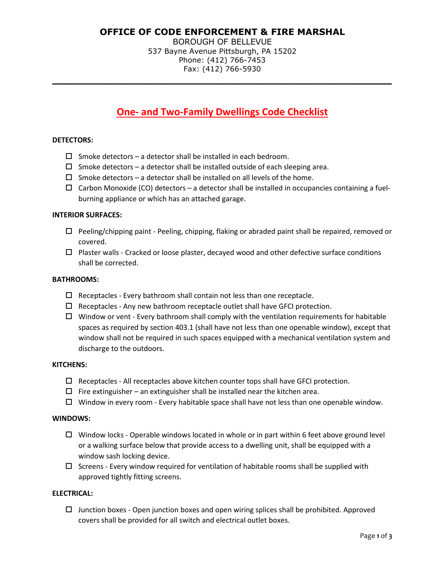# **OFFICE OF CODE ENFORCEMENT & FIRE MARSHAL**

BOROUGH OF BELLEVUE 537 Bayne Avenue Pittsburgh, PA 15202 Phone: (412) 766-7453 Fax: (412) 766-5930

**\_\_\_\_\_\_\_\_\_\_\_\_\_\_\_\_\_\_\_\_\_\_\_\_\_\_\_\_\_\_\_\_\_\_\_\_\_\_\_\_\_\_\_\_\_\_\_\_\_\_\_\_\_\_\_\_\_\_\_\_\_\_\_\_\_\_\_**

# **One- and Two-Family Dwellings Code Checklist**

#### **DETECTORS:**

- $\square$  Smoke detectors a detector shall be installed in each bedroom.
- $\Box$  Smoke detectors a detector shall be installed outside of each sleeping area.
- $\square$  Smoke detectors a detector shall be installed on all levels of the home.
- $\Box$  Carbon Monoxide (CO) detectors a detector shall be installed in occupancies containing a fuelburning appliance or which has an attached garage.

#### **INTERIOR SURFACES:**

- $\Box$  Peeling/chipping paint Peeling, chipping, flaking or abraded paint shall be repaired, removed or covered.
- $\Box$  Plaster walls Cracked or loose plaster, decayed wood and other defective surface conditions shall be corrected.

## **BATHROOMS:**

- $\Box$  Receptacles Every bathroom shall contain not less than one receptacle.
- $\Box$  Receptacles Any new bathroom receptacle outlet shall have GFCI protection.
- $\Box$  Window or vent Every bathroom shall comply with the ventilation requirements for habitable spaces as required by section 403.1 (shall have not less than one openable window), except that window shall not be required in such spaces equipped with a mechanical ventilation system and discharge to the outdoors.

#### **KITCHENS:**

- $\Box$  Receptacles All receptacles above kitchen counter tops shall have GFCI protection.
- $\Box$  Fire extinguisher an extinguisher shall be installed near the kitchen area.
- $\Box$  Window in every room Every habitable space shall have not less than one openable window.

#### **WINDOWS:**

- $\Box$  Window locks Operable windows located in whole or in part within 6 feet above ground level or a walking surface below that provide access to a dwelling unit, shall be equipped with a window sash locking device.
- $\Box$  Screens Every window required for ventilation of habitable rooms shall be supplied with approved tightly fitting screens.

#### **ELECTRICAL:**

 $\Box$  Junction boxes - Open junction boxes and open wiring splices shall be prohibited. Approved covers shall be provided for all switch and electrical outlet boxes.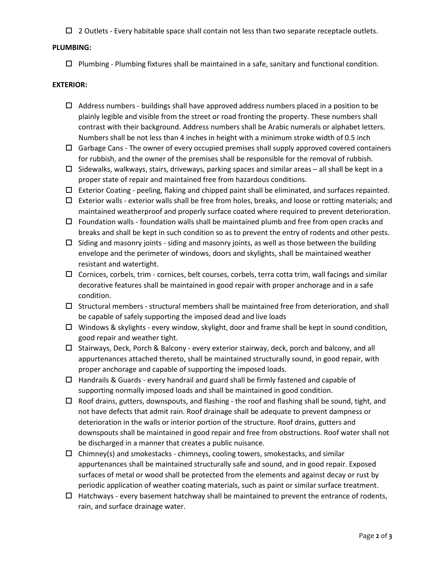$\Box$  2 Outlets - Every habitable space shall contain not less than two separate receptacle outlets.

## **PLUMBING:**

 $\Box$  Plumbing - Plumbing fixtures shall be maintained in a safe, sanitary and functional condition.

#### **EXTERIOR:**

- $\Box$  Address numbers buildings shall have approved address numbers placed in a position to be plainly legible and visible from the street or road fronting the property. These numbers shall contrast with their background. Address numbers shall be Arabic numerals or alphabet letters. Numbers shall be not less than 4 inches in height with a minimum stroke width of 0.5 inch
- $\Box$  Garbage Cans The owner of every occupied premises shall supply approved covered containers for rubbish, and the owner of the premises shall be responsible for the removal of rubbish.
- $\Box$  Sidewalks, walkways, stairs, driveways, parking spaces and similar areas all shall be kept in a proper state of repair and maintained free from hazardous conditions.
- $\Box$  Exterior Coating peeling, flaking and chipped paint shall be eliminated, and surfaces repainted.
- $\Box$  Exterior walls exterior walls shall be free from holes, breaks, and loose or rotting materials; and maintained weatherproof and properly surface coated where required to prevent deterioration.
- $\Box$  Foundation walls foundation walls shall be maintained plumb and free from open cracks and breaks and shall be kept in such condition so as to prevent the entry of rodents and other pests.
- $\Box$  Siding and masonry joints siding and masonry joints, as well as those between the building envelope and the perimeter of windows, doors and skylights, shall be maintained weather resistant and watertight.
- $\Box$  Cornices, corbels, trim cornices, belt courses, corbels, terra cotta trim, wall facings and similar decorative features shall be maintained in good repair with proper anchorage and in a safe condition.
- $\Box$  Structural members structural members shall be maintained free from deterioration, and shall be capable of safely supporting the imposed dead and live loads
- $\Box$  Windows & skylights every window, skylight, door and frame shall be kept in sound condition, good repair and weather tight.
- $\Box$  Stairways, Deck, Porch & Balcony every exterior stairway, deck, porch and balcony, and all appurtenances attached thereto, shall be maintained structurally sound, in good repair, with proper anchorage and capable of supporting the imposed loads.
- $\Box$  Handrails & Guards every handrail and guard shall be firmly fastened and capable of supporting normally imposed loads and shall be maintained in good condition.
- $\Box$  Roof drains, gutters, downspouts, and flashing the roof and flashing shall be sound, tight, and not have defects that admit rain. Roof drainage shall be adequate to prevent dampness or deterioration in the walls or interior portion of the structure. Roof drains, gutters and downspouts shall be maintained in good repair and free from obstructions. Roof water shall not be discharged in a manner that creates a public nuisance.
- $\Box$  Chimney(s) and smokestacks chimneys, cooling towers, smokestacks, and similar appurtenances shall be maintained structurally safe and sound, and in good repair. Exposed surfaces of metal or wood shall be protected from the elements and against decay or rust by periodic application of weather coating materials, such as paint or similar surface treatment.
- $\Box$  Hatchways every basement hatchway shall be maintained to prevent the entrance of rodents, rain, and surface drainage water.